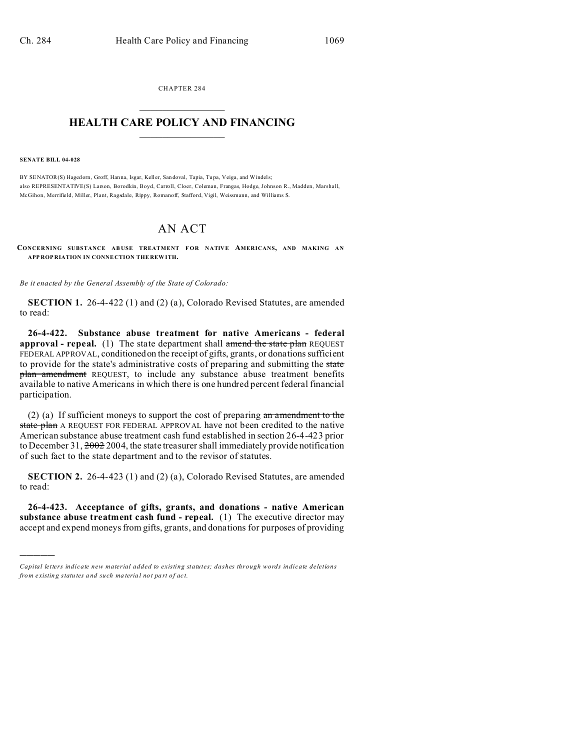CHAPTER 284  $\overline{\phantom{a}}$  , where  $\overline{\phantom{a}}$ 

## **HEALTH CARE POLICY AND FINANCING**  $\_$   $\_$   $\_$   $\_$   $\_$   $\_$   $\_$   $\_$

**SENATE BILL 04-028**

)))))

BY SENATOR(S) Hagedorn, Groff, Hanna, Isgar, Keller, San doval, Tapia, Tupa, Veiga, and Windels; also REPRESENTATIVE(S) Larson, Borodkin, Boyd, Carroll, Cloer, Coleman, Frangas, Hodge, Johnson R., Madden, Marshall, McGihon, Merrifield, Miller, Plant, Ragsdale, Rippy, Romanoff, Stafford, Vigil, Weissmann, and Williams S.

## AN ACT

**CONCERNING SUBSTANCE AB USE TREATMENT FOR NATIVE AMERICANS, AND MAKING AN APP ROP RIATION IN CONNE CTION THE REW ITH.**

*Be it enacted by the General Assembly of the State of Colorado:*

**SECTION 1.** 26-4-422 (1) and (2) (a), Colorado Revised Statutes, are amended to read:

**26-4-422. Substance abuse treatment for native Americans - federal approval - repeal.** (1) The state department shall amend the state plan REQUEST FEDERAL APPROVAL, conditionedon the receipt of gifts, grants, or donations sufficient to provide for the state's administrative costs of preparing and submitting the state plan amendment REQUEST, to include any substance abuse treatment benefits available to native Americans in which there is one hundred percent federal financial participation.

(2) (a) If sufficient moneys to support the cost of preparing  $a_n$  amendment to the state plan A REQUEST FOR FEDERAL APPROVAL have not been credited to the native American substance abuse treatment cash fund established in section 26-4-423 prior to December 31, 2002 2004, the state treasurer shall immediately provide notification of such fact to the state department and to the revisor of statutes.

**SECTION 2.** 26-4-423 (1) and (2) (a), Colorado Revised Statutes, are amended to read:

**26-4-423. Acceptance of gifts, grants, and donations - native American substance abuse treatment cash fund - repeal.** (1) The executive director may accept and expend moneys from gifts, grants, and donations for purposes of providing

*Capital letters indicate new material added to existing statutes; dashes through words indicate deletions from e xistin g statu tes a nd such ma teria l no t pa rt of ac t.*